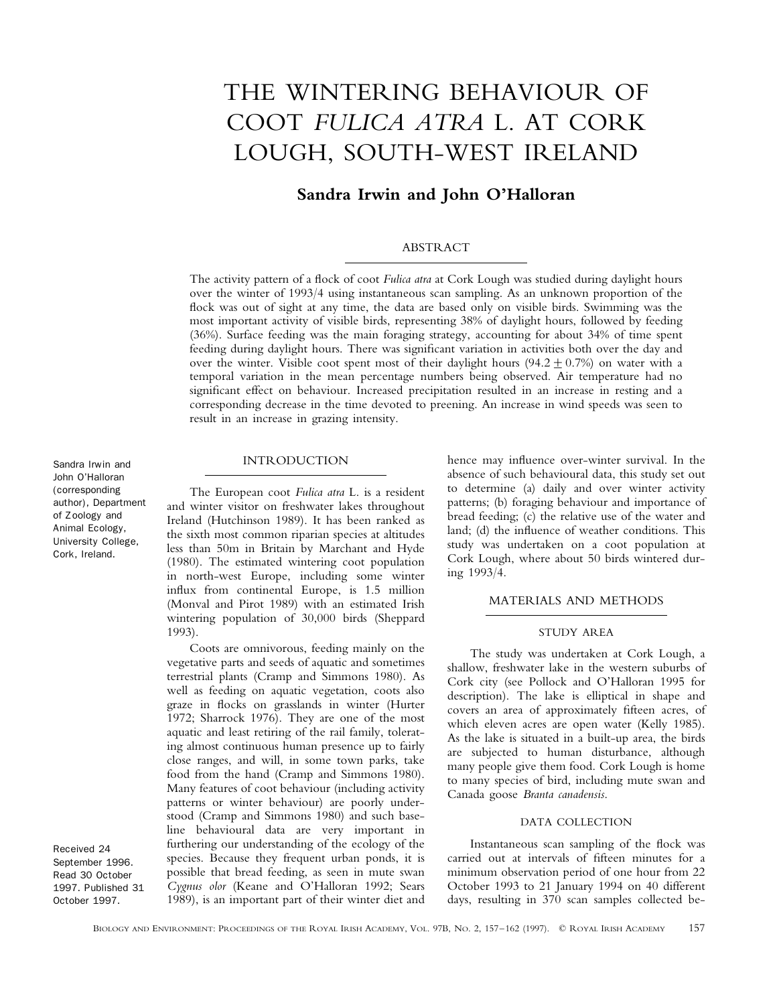# THE WINTERING BEHAVIOUR OF COOT *FULICA ATRA* L. AT CORK LOUGH, SOUTH-WEST IRELAND

# **Sandra Irwin and John O'Halloran**

#### ABSTRACT

The activity pattern of a flock of coot *Fulica atra* at Cork Lough was studied during daylight hours over the winter of 1993/4 using instantaneous scan sampling. As an unknown proportion of the flock was out of sight at any time, the data are based only on visible birds. Swimming was the most important activity of visible birds, representing 38% of daylight hours, followed by feeding (36%). Surface feeding was the main foraging strategy, accounting for about 34% of time spent feeding during daylight hours. There was significant variation in activities both over the day and over the winter. Visible coot spent most of their daylight hours (94.2 + 0.7%) on water with a temporal variation in the mean percentage numbers being observed. Air temperature had no significant effect on behaviour. Increased precipitation resulted in an increase in resting and a corresponding decrease in the time devoted to preening. An increase in wind speeds was seen to result in an increase in grazing intensity.

#### INTRODUCTION

The European coot *Fulica atra* L. is a resident and winter visitor on freshwater lakes throughout Ireland (Hutchinson 1989). It has been ranked as the sixth most common riparian species at altitudes less than 50m in Britain by Marchant and Hyde (1980). The estimated wintering coot population in north-west Europe, including some winter influx from continental Europe, is 1.5 million (Monval and Pirot 1989) with an estimated Irish wintering population of 30,000 birds (Sheppard 1993).

Coots are omnivorous, feeding mainly on the vegetative parts and seeds of aquatic and sometimes terrestrial plants (Cramp and Simmons 1980). As well as feeding on aquatic vegetation, coots also graze in flocks on grasslands in winter (Hurter 1972; Sharrock 1976). They are one of the most aquatic and least retiring of the rail family, tolerating almost continuous human presence up to fairly close ranges, and will, in some town parks, take food from the hand (Cramp and Simmons 1980). Many features of coot behaviour (including activity patterns or winter behaviour) are poorly understood (Cramp and Simmons 1980) and such baseline behavioural data are very important in furthering our understanding of the ecology of the species. Because they frequent urban ponds, it is possible that bread feeding, as seen in mute swan *Cygnus olor* (Keane and O'Halloran 1992; Sears 1989), is an important part of their winter diet and hence may influence over-winter survival. In the absence of such behavioural data, this study set out to determine (a) daily and over winter activity patterns; (b) foraging behaviour and importance of bread feeding; (c) the relative use of the water and land; (d) the influence of weather conditions. This study was undertaken on a coot population at Cork Lough, where about 50 birds wintered during 1993/4.

#### MATERIALS AND METHODS

### STUDY AREA

The study was undertaken at Cork Lough, a shallow, freshwater lake in the western suburbs of Cork city (see Pollock and O'Halloran 1995 for description). The lake is elliptical in shape and covers an area of approximately fifteen acres, of which eleven acres are open water (Kelly 1985). As the lake is situated in a built-up area, the birds are subjected to human disturbance, although many people give them food. Cork Lough is home to many species of bird, including mute swan and Canada goose *Branta canadensis*.

#### DATA COLLECTION

Instantaneous scan sampling of the flock was carried out at intervals of fifteen minutes for a minimum observation period of one hour from 22 October 1993 to 21 January 1994 on 40 different days, resulting in 370 scan samples collected be-

Sandra Irwin and John O'Halloran (corresponding author), Department of Zoology and Animal Ecology, University College, Cork, Ireland.

Received 24 September 1996. Read 30 October 1997. Published 31 October 1997.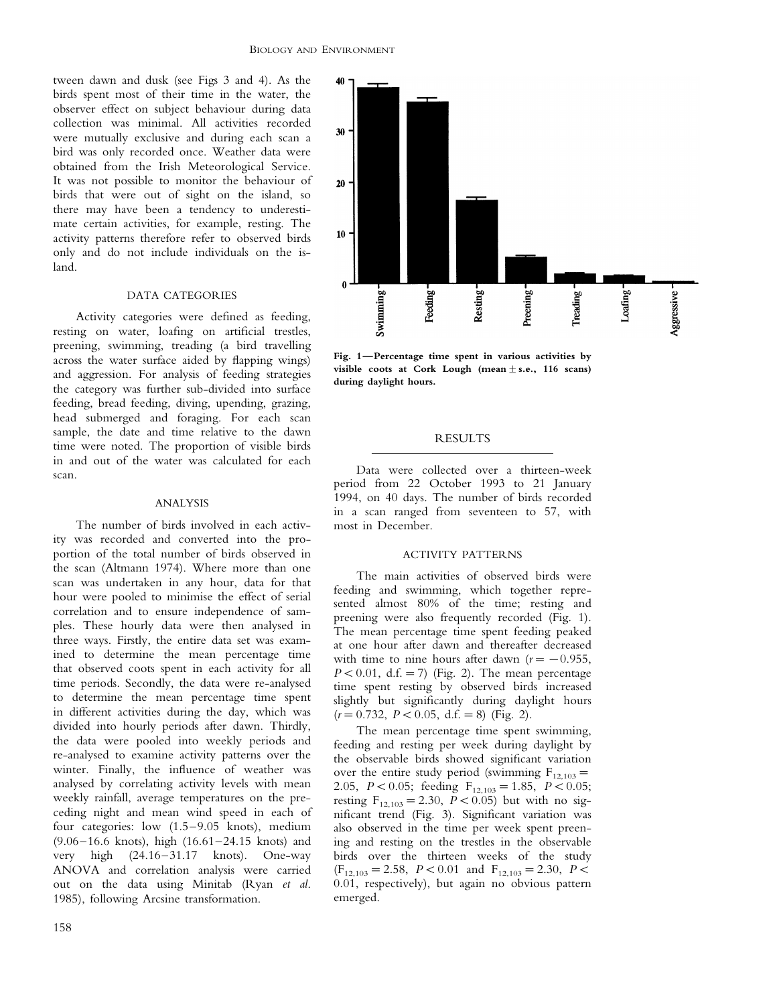tween dawn and dusk (see Figs 3 and 4). As the birds spent most of their time in the water, the observer effect on subject behaviour during data collection was minimal. All activities recorded were mutually exclusive and during each scan a bird was only recorded once. Weather data were obtained from the Irish Meteorological Service. It was not possible to monitor the behaviour of birds that were out of sight on the island, so there may have been a tendency to underestimate certain activities, for example, resting. The activity patterns therefore refer to observed birds only and do not include individuals on the island.

#### DATA CATEGORIES

Activity categories were defined as feeding, resting on water, loafing on artificial trestles, preening, swimming, treading (a bird travelling across the water surface aided by flapping wings) and aggression. For analysis of feeding strategies the category was further sub-divided into surface feeding, bread feeding, diving, upending, grazing, head submerged and foraging. For each scan sample, the date and time relative to the dawn time were noted. The proportion of visible birds in and out of the water was calculated for each scan.

#### ANALYSIS

The number of birds involved in each activity was recorded and converted into the proportion of the total number of birds observed in the scan (Altmann 1974). Where more than one scan was undertaken in any hour, data for that hour were pooled to minimise the effect of serial correlation and to ensure independence of samples. These hourly data were then analysed in three ways. Firstly, the entire data set was examined to determine the mean percentage time that observed coots spent in each activity for all time periods. Secondly, the data were re-analysed to determine the mean percentage time spent in different activities during the day, which was divided into hourly periods after dawn. Thirdly, the data were pooled into weekly periods and re-analysed to examine activity patterns over the winter. Finally, the influence of weather was analysed by correlating activity levels with mean weekly rainfall, average temperatures on the preceding night and mean wind speed in each of four categories: low (1.5–9.05 knots), medium (9.06–16.6 knots), high (16.61–24.15 knots) and very high (24.16–31.17 knots). One-way ANOVA and correlation analysis were carried out on the data using Minitab (Ryan *et al*. 1985), following Arcsine transformation.



**Fig. 1—Percentage time spent in various activities by** visible coots at Cork Lough (mean  $\pm$  s.e., 116 scans) **during daylight hours.**

## **RESULTS**

Data were collected over a thirteen-week period from 22 October 1993 to 21 January 1994, on 40 days. The number of birds recorded in a scan ranged from seventeen to 57, with most in December.

#### ACTIVITY PATTERNS

The main activities of observed birds were feeding and swimming, which together represented almost 80% of the time; resting and preening were also frequently recorded (Fig. 1). The mean percentage time spent feeding peaked at one hour after dawn and thereafter decreased with time to nine hours after dawn  $(r=-0.955,$  $P < 0.01$ , d.f. = 7) (Fig. 2). The mean percentage time spent resting by observed birds increased slightly but significantly during daylight hours  $(r=0.732, P<0.05, d.f. = 8)$  (Fig. 2).

The mean percentage time spent swimming, feeding and resting per week during daylight by the observable birds showed significant variation over the entire study period (swimming  $F_{12,103}=$ 2.05,  $P < 0.05$ ; feeding F<sub>12,103</sub> = 1.85,  $P < 0.05$ ; resting  $F_{12,103} = 2.30$ ,  $P < 0.05$ ) but with no significant trend (Fig. 3). Significant variation was also observed in the time per week spent preening and resting on the trestles in the observable birds over the thirteen weeks of the study  $(F_{12,103} = 2.58, P < 0.01$  and  $F_{12,103} = 2.30, P <$ 0.01, respectively), but again no obvious pattern emerged.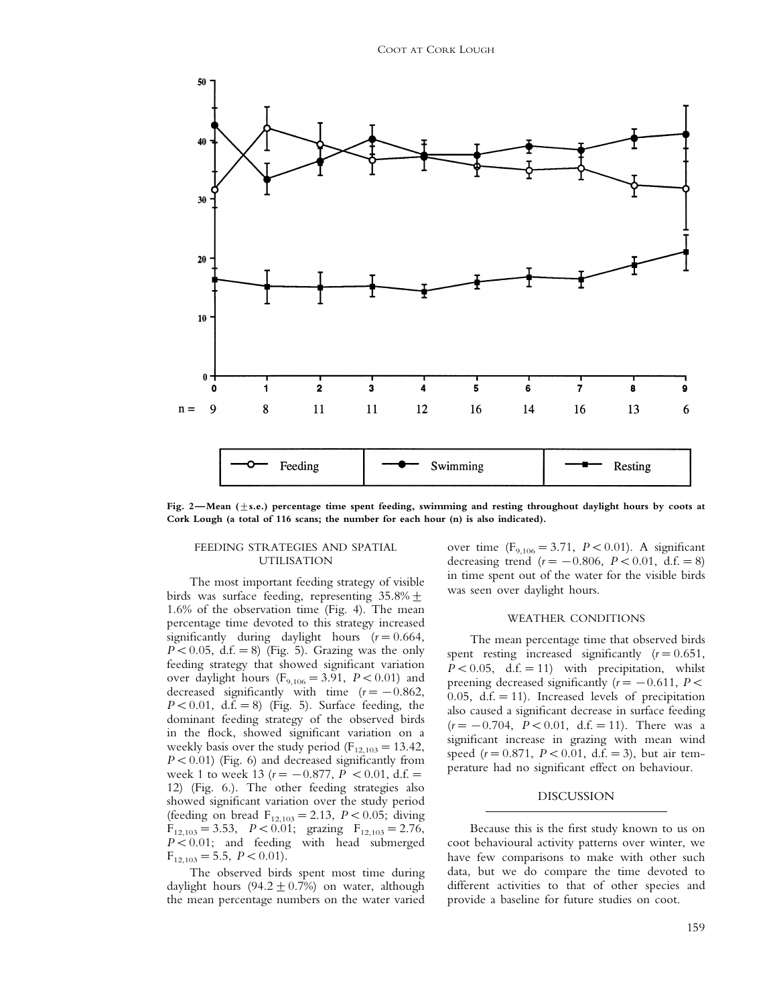

**Fig. 2—Mean (**9**s.e.) percentage time spent feeding, swimming and resting throughout daylight hours by coots at Cork Lough (a total of 116 scans; the number for each hour (n) is also indicated).**

#### FEEDING STRATEGIES AND SPATIAL UTILISATION

The most important feeding strategy of visible birds was surface feeding, representing  $35.8\% \pm$ 1.6% of the observation time (Fig. 4). The mean percentage time devoted to this strategy increased significantly during daylight hours  $(r=0.664,$  $P < 0.05$ , d.f. = 8) (Fig. 5). Grazing was the only feeding strategy that showed significant variation over daylight hours  $(F_{9,106} = 3.91, P < 0.01)$  and decreased significantly with time (*r*=−0.862,  $P < 0.01$ , d.f. = 8) (Fig. 5). Surface feeding, the dominant feeding strategy of the observed birds in the flock, showed significant variation on a weekly basis over the study period ( $F_{12,103}=13.42$ ,  $P < 0.01$ ) (Fig. 6) and decreased significantly from week 1 to week 13 ( $r = -0.877$ ,  $P < 0.01$ , d.f. = 12) (Fig. 6.). The other feeding strategies also showed significant variation over the study period (feeding on bread  $F_{12,103} = 2.13$ ,  $P < 0.05$ ; diving  $F_{12,103}=3.53$ ,  $P < 0.01$ ; grazing  $F_{12,103}=2.76$ , *P*<0.01; and feeding with head submerged  $F_{12,103} = 5.5$ ,  $P < 0.01$ ).

The observed birds spent most time during daylight hours (94.2  $\pm$  0.7%) on water, although the mean percentage numbers on the water varied

over time  $(F_{9,106} = 3.71, P < 0.01)$ . A significant decreasing trend  $(r=-0.806, P<0.01, d.f. = 8)$ in time spent out of the water for the visible birds was seen over daylight hours.

#### WEATHER CONDITIONS

The mean percentage time that observed birds spent resting increased significantly  $(r=0.651,$  $P < 0.05$ , d.f. = 11) with precipitation, whilst preening decreased significantly  $(r=-0.611, P\leq$ 0.05,  $d.f. = 11$ ). Increased levels of precipitation also caused a significant decrease in surface feeding (*r* = −0.704, *P* < 0.01, d.f. = 11). There was a significant increase in grazing with mean wind speed  $(r = 0.871, P < 0.01, d.f. = 3)$ , but air temperature had no significant effect on behaviour.

### DISCUSSION

Because this is the first study known to us on coot behavioural activity patterns over winter, we have few comparisons to make with other such data, but we do compare the time devoted to different activities to that of other species and provide a baseline for future studies on coot.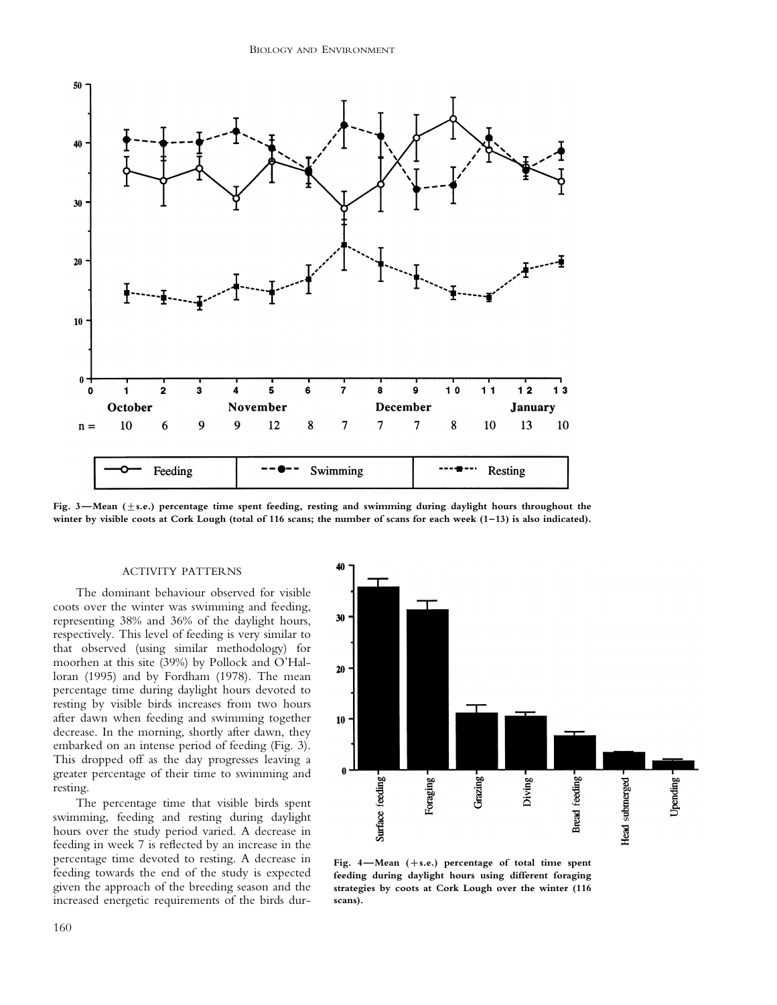

Fig. 3—Mean ( $\pm$ s.e.) percentage time spent feeding, resting and swimming during daylight hours throughout the **winter by visible coots at Cork Lough (total of 116 scans; the number of scans for each week (1–13) is also indicated).**

#### ACTIVITY PATTERNS

The dominant behaviour observed for visible coots over the winter was swimming and feeding, representing 38% and 36% of the daylight hours, respectively. This level of feeding is very similar to that observed (using similar methodology) for moorhen at this site (39%) by Pollock and O'Halloran (1995) and by Fordham (1978). The mean percentage time during daylight hours devoted to resting by visible birds increases from two hours after dawn when feeding and swimming together decrease. In the morning, shortly after dawn, they embarked on an intense period of feeding (Fig. 3). This dropped off as the day progresses leaving a greater percentage of their time to swimming and resting.

The percentage time that visible birds spent swimming, feeding and resting during daylight hours over the study period varied. A decrease in feeding in week 7 is reflected by an increase in the percentage time devoted to resting. A decrease in feeding towards the end of the study is expected given the approach of the breeding season and the increased energetic requirements of the birds dur-



**Fig. 4—Mean (**+**s.e.) percentage of total time spent feeding during daylight hours using different foraging strategies by coots at Cork Lough over the winter (116 scans).**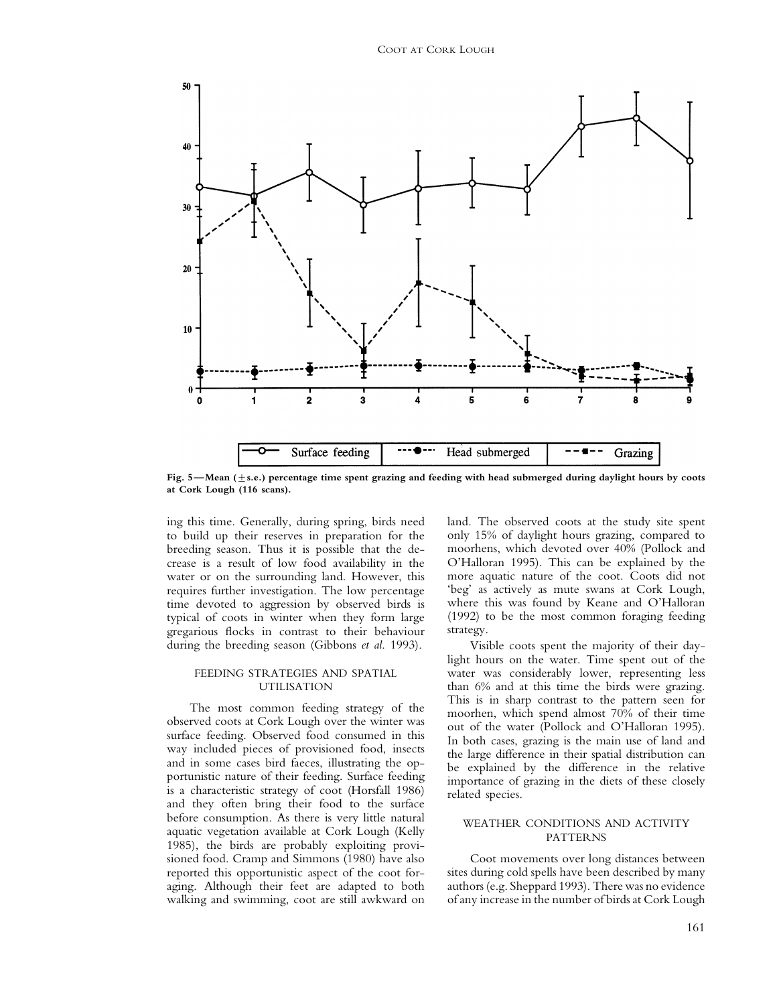

Fig. 5—Mean ( $\pm$ s.e.) percentage time spent grazing and feeding with head submerged during daylight hours by coots **at Cork Lough (116 scans).**

ing this time. Generally, during spring, birds need to build up their reserves in preparation for the breeding season. Thus it is possible that the decrease is a result of low food availability in the water or on the surrounding land. However, this requires further investigation. The low percentage time devoted to aggression by observed birds is typical of coots in winter when they form large gregarious flocks in contrast to their behaviour during the breeding season (Gibbons *et al*. 1993).

#### FEEDING STRATEGIES AND SPATIAL UTILISATION

The most common feeding strategy of the observed coots at Cork Lough over the winter was surface feeding. Observed food consumed in this way included pieces of provisioned food, insects and in some cases bird faeces, illustrating the opportunistic nature of their feeding. Surface feeding is a characteristic strategy of coot (Horsfall 1986) and they often bring their food to the surface before consumption. As there is very little natural aquatic vegetation available at Cork Lough (Kelly 1985), the birds are probably exploiting provisioned food. Cramp and Simmons (1980) have also reported this opportunistic aspect of the coot foraging. Although their feet are adapted to both walking and swimming, coot are still awkward on land. The observed coots at the study site spent only 15% of daylight hours grazing, compared to moorhens, which devoted over 40% (Pollock and O'Halloran 1995). This can be explained by the more aquatic nature of the coot. Coots did not 'beg' as actively as mute swans at Cork Lough, where this was found by Keane and O'Halloran (1992) to be the most common foraging feeding strategy.

Visible coots spent the majority of their daylight hours on the water. Time spent out of the water was considerably lower, representing less than 6% and at this time the birds were grazing. This is in sharp contrast to the pattern seen for moorhen, which spend almost 70% of their time out of the water (Pollock and O'Halloran 1995). In both cases, grazing is the main use of land and the large difference in their spatial distribution can be explained by the difference in the relative importance of grazing in the diets of these closely related species.

## WEATHER CONDITIONS AND ACTIVITY PATTERNS

Coot movements over long distances between sites during cold spells have been described by many authors (e.g. Sheppard 1993). There was no evidence of any increase in the number of birds at Cork Lough